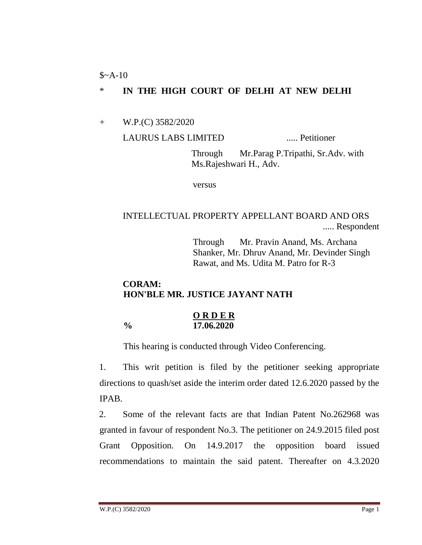### $$~A-10$

# \* **IN THE HIGH COURT OF DELHI AT NEW DELHI**

+ W.P.(C) 3582/2020

LAURUS LABS LIMITED ..... Petitioner

Through Mr.Parag P.Tripathi, Sr.Adv. with Ms.Rajeshwari H., Adv.

versus

# INTELLECTUAL PROPERTY APPELLANT BOARD AND ORS ..... Respondent

Through Mr. Pravin Anand, Ms. Archana Shanker, Mr. Dhruv Anand, Mr. Devinder Singh Rawat, and Ms. Udita M. Patro for R-3

## **CORAM: HON'BLE MR. JUSTICE JAYANT NATH**

#### **O R D E R % 17.06.2020**

This hearing is conducted through Video Conferencing.

1. This writ petition is filed by the petitioner seeking appropriate directions to quash/set aside the interim order dated 12.6.2020 passed by the IPAB.

2. Some of the relevant facts are that Indian Patent No.262968 was granted in favour of respondent No.3. The petitioner on 24.9.2015 filed post Grant Opposition. On 14.9.2017 the opposition board issued recommendations to maintain the said patent. Thereafter on 4.3.2020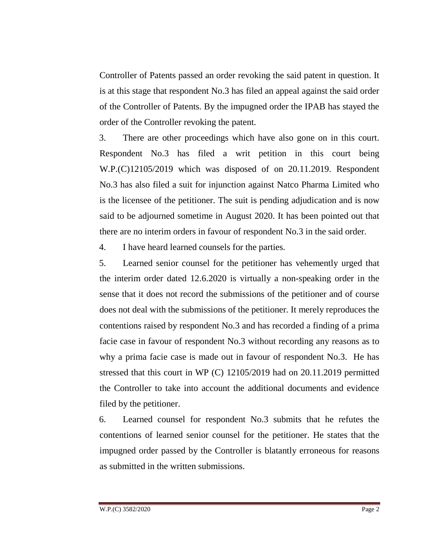Controller of Patents passed an order revoking the said patent in question. It is at this stage that respondent No.3 has filed an appeal against the said order of the Controller of Patents. By the impugned order the IPAB has stayed the order of the Controller revoking the patent.

3. There are other proceedings which have also gone on in this court. Respondent No.3 has filed a writ petition in this court being W.P.(C)12105/2019 which was disposed of on 20.11.2019. Respondent No.3 has also filed a suit for injunction against Natco Pharma Limited who is the licensee of the petitioner. The suit is pending adjudication and is now said to be adjourned sometime in August 2020. It has been pointed out that there are no interim orders in favour of respondent No.3 in the said order.

4. I have heard learned counsels for the parties.

5. Learned senior counsel for the petitioner has vehemently urged that the interim order dated 12.6.2020 is virtually a non-speaking order in the sense that it does not record the submissions of the petitioner and of course does not deal with the submissions of the petitioner. It merely reproduces the contentions raised by respondent No.3 and has recorded a finding of a prima facie case in favour of respondent No.3 without recording any reasons as to why a prima facie case is made out in favour of respondent No.3. He has stressed that this court in WP (C) 12105/2019 had on 20.11.2019 permitted the Controller to take into account the additional documents and evidence filed by the petitioner.

6. Learned counsel for respondent No.3 submits that he refutes the contentions of learned senior counsel for the petitioner. He states that the impugned order passed by the Controller is blatantly erroneous for reasons as submitted in the written submissions.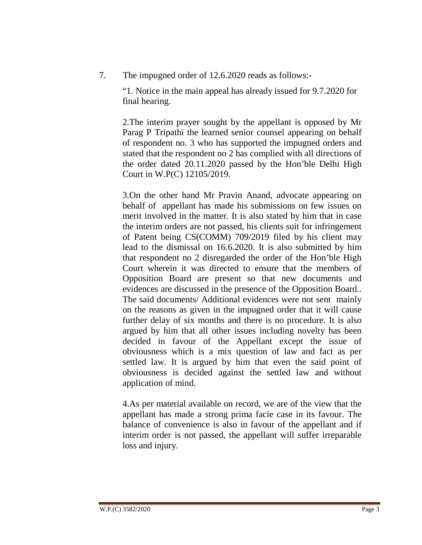7. The impugned order of 12.6.2020 reads as follows:-

"1. Notice in the main appeal has already issued for 9.7.2020 for final hearing.

2.The interim prayer sought by the appellant is opposed by Mr Parag P Tripathi the learned senior counsel appearing on behalf of respondent no. 3 who has supported the impugned orders and stated that the respondent no 2 has complied with all directions of the order dated 20.11.2020 passed by the Hon'ble Delhi High Court in W.P(C) 12105/2019.

3.On the other hand Mr Pravin Anand, advocate appearing on behalf of appellant has made his submissions on few issues on merit involved in the matter. It is also stated by him that in case the interim orders are not passed, his clients suit for infringement of Patent being CS(COMM) 709/2019 filed by his client may lead to the dismissal on 16.6.2020. It is also submitted by him that respondent no 2 disregarded the order of the Hon'ble High Court wherein it was directed to ensure that the members of Opposition Board are present so that new documents and evidences are discussed in the presence of the Opposition Board.. The said documents/ Additional evidences were not sent mainly on the reasons as given in the impugned order that it will cause further delay of six months and there is no procedure. It is also argued by him that all other issues including novelty has been decided in favour of the Appellant except the issue of obviousness which is a mix question of law and fact as per settled law. It is argued by him that even the said point of obviousness is decided against the settled law and without application of mind.

4.As per material available on record, we are of the view that the appellant has made a strong prima facie case in its favour. The balance of convenience is also in favour of the appellant and if interim order is not passed, the appellant will suffer irreparable loss and injury.